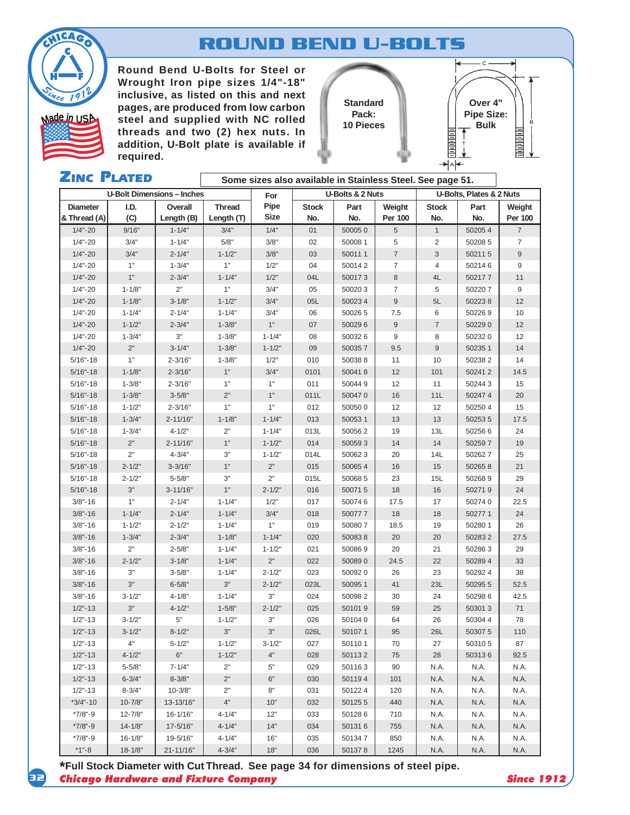

# **ROUND BEND U-BOLTS**

**Round Bend U-Bolts for Steel or Wrought Iron pipe sizes 1/4"-18" inclusive, as listed on this and next pages, are produced from low carbon steel and supplied with NC rolled Pack: Bulk** Made in USA steel and supplied with NC rolled **Places Bulk** Made in the SI **threads and two (2) hex nuts. In addition, U-Bolt plate is available if required.**

**Standard Pack: 10 Pieces**



| <b>ZINC PLATED</b>              |             |                                   | Some sizes also available in Stainless Steel. See page 51. |                     |                     |             |                          |                     |             |                          |  |  |
|---------------------------------|-------------|-----------------------------------|------------------------------------------------------------|---------------------|---------------------|-------------|--------------------------|---------------------|-------------|--------------------------|--|--|
|                                 |             | <b>U-Bolt Dimensions - Inches</b> |                                                            | For                 | U-Bolts & 2 Nuts    |             |                          |                     |             | U-Bolts, Plates & 2 Nuts |  |  |
| <b>Diameter</b><br>& Thread (A) | I.D.<br>(C) | Overall<br>Length (B)             | <b>Thread</b><br>Length (T)                                | Pipe<br><b>Size</b> | <b>Stock</b><br>No. | Part<br>No. | Weight<br><b>Per 100</b> | <b>Stock</b><br>No. | Part<br>No. | Weight<br><b>Per 100</b> |  |  |
| $1/4 - 20$                      | 9/16"       | $1 - 1/4"$                        | 3/4"                                                       | 1/4"                | 01                  | 500050      | 5                        | $\mathbf{1}$        | 502054      | $\overline{7}$           |  |  |
| $1/4 - 20$                      | 3/4"        | $1 - 1/4"$                        | 5/8"                                                       | 3/8"                | 02                  | 50008 1     | 5                        | 2                   | 50208 5     | $\overline{7}$           |  |  |
| $1/4 - 20$                      | 3/4"        | $2 - 1/4"$                        | $1 - 1/2"$                                                 | 3/8"                | 03                  | 500111      | $\overline{7}$           | 3                   | 502115      | 9                        |  |  |
| $1/4 - 20$                      | 1"          | $1 - 3/4"$                        | 1"                                                         | 1/2"                | 04                  | 500142      | $\overline{7}$           | $\overline{4}$      | 502146      | 9                        |  |  |
| $1/4 - 20$                      | 1"          | $2 - 3/4"$                        | $1 - 1/4"$                                                 | 1/2"                | 04L                 | 500173      | 8                        | 4L                  | 502177      | 11                       |  |  |
| $1/4 - 20$                      | $1 - 1/8"$  | 2"                                | 1"                                                         | 3/4"                | 05                  | 500203      | $\overline{7}$           | 5                   | 502207      | 9                        |  |  |
| $1/4 - 20$                      | $1 - 1/8"$  | $3 - 1/8"$                        | $1 - 1/2"$                                                 | 3/4"                | 05L                 | 500234      | $\boldsymbol{9}$         | 5L                  | 502238      | 12                       |  |  |
| $1/4 - 20$                      | $1 - 1/4"$  | $2 - 1/4"$                        | $1 - 1/4"$                                                 | 3/4"                | 06                  | 500265      | 7.5                      | 6                   | 502269      | 10                       |  |  |
| $1/4 - 20$                      | $1 - 1/2"$  | $2 - 3/4"$                        | $1 - 3/8"$                                                 | 1"                  | 07                  | 500296      | $\boldsymbol{9}$         | $\overline{7}$      | 502290      | 12                       |  |  |
| $1/4 - 20$                      | $1 - 3/4"$  | 3"                                | $1 - 3/8"$                                                 | $1 - 1/4"$          | 08                  | 500326      | 9                        | 8                   | 502320      | 12                       |  |  |
| $1/4 - 20$                      | $2"$        | $3 - 1/4"$                        | $1 - 3/8"$                                                 | $1 - 1/2"$          | 09                  | 500357      | 9.5                      | 9                   | 50235 1     | 14                       |  |  |
| $5/16 - 18$                     | 1"          | $2 - 3/16"$                       | $1 - 3/8"$                                                 | 1/2"                | 010                 | 500388      | 11                       | 10                  | 502382      | 14                       |  |  |
| $5/16 - 18$                     | $1 - 1/8"$  | $2 - 3/16"$                       | 1"                                                         | 3/4"                | 0101                | 500418      | 12                       | 101                 | 502412      | 14.5                     |  |  |
| $5/16 - 18$                     | $1 - 3/8"$  | $2 - 3/16"$                       | 1"                                                         | 1"                  | 011                 | 500449      | 12                       | 11                  | 502443      | 15                       |  |  |
| $5/16 - 18$                     | $1 - 3/8"$  | $3 - 5/8"$                        | 2"                                                         | 1"                  | 011L                | 500470      | 16                       | 11L                 | 502474      | 20                       |  |  |
| $5/16 - 18$                     | $1 - 1/2"$  | $2 - 3/16"$                       | 1"                                                         | 1"                  | 012                 | 500500      | 12                       | 12                  | 502504      | 15                       |  |  |
| $5/16 - 18$                     | $1 - 3/4"$  | $2 - 11/16"$                      | $1 - 1/8"$                                                 | $1 - 1/4"$          | 013                 | 500531      | 13                       | 13                  | 502535      | 17.5                     |  |  |
| $5/16 - 18$                     | $1 - 3/4"$  | $4 - 1/2"$                        | 2"                                                         | $1 - 1/4"$          | 013L                | 500562      | 19                       | 13L                 | 502566      | 24                       |  |  |
| $5/16 - 18$                     | 2"          | $2 - 11/16"$                      | 1"                                                         | $1 - 1/2"$          | 014                 | 500593      | 14                       | 14                  | 502597      | 19                       |  |  |
| $5/16 - 18$                     | 2"          | $4 - 3/4"$                        | 3"                                                         | $1 - 1/2"$          | 014L                | 500623      | 20                       | 14L                 | 502627      | 25                       |  |  |
| $5/16 - 18$                     | $2 - 1/2"$  | $3 - 3/16"$                       | 1"                                                         | 2"                  | 015                 | 500654      | 16                       | 15                  | 502658      | 21                       |  |  |
| $5/16 - 18$                     | $2 - 1/2"$  | $5 - 5/8"$                        | 3"                                                         | 2"                  | 015L                | 500685      | 23                       | 15L                 | 502689      | 29                       |  |  |
| $5/16 - 18$                     | 3"          | $3 - 11/16"$                      | 1"                                                         | $2 - 1/2"$          | 016                 | 500715      | 18                       | 16                  | 502719      | 24                       |  |  |
| $3/8 - 16$                      | 1"          | $2 - 1/4"$                        | $1 - 1/4"$                                                 | 1/2"                | 017                 | 500746      | 17.5                     | 17                  | 502740      | 22.5                     |  |  |
| $3/8 - 16$                      | $1 - 1/4"$  | $2 - 1/4"$                        | $1 - 1/4"$                                                 | 3/4"                | 018                 | 500777      | 18                       | 18                  | 502771      | 24                       |  |  |
| $3/8 - 16$                      | $1 - 1/2"$  | $2 - 1/2"$                        | $1 - 1/4"$                                                 | 1"                  | 019                 | 500807      | 18.5                     | 19                  | 50280 1     | 26                       |  |  |
| $3/8 - 16$                      | $1 - 3/4"$  | $2 - 3/4"$                        | $1 - 1/8"$                                                 | $1 - 1/4"$          | 020                 | 500838      | 20                       | 20                  | 502832      | 27.5                     |  |  |
| $3/8 - 16$                      | 2"          | $2 - 5/8"$                        | $1 - 1/4"$                                                 | $1 - 1/2"$          | 021                 | 500869      | 20                       | 21                  | 502863      | 29                       |  |  |
| $3/8 - 16$                      | $2 - 1/2"$  | $3 - 1/8"$                        | $1 - 1/4"$                                                 | 2"                  | 022                 | 500890      | 24.5                     | 22                  | 502894      | 33                       |  |  |
| $3/8 - 16$                      | 3"          | $3 - 5/8"$                        | $1 - 1/4"$                                                 | $2 - 1/2"$          | 023                 | 500920      | 26                       | 23                  | 502924      | 38                       |  |  |
| $3/8 - 16$                      | $3"$        | $6 - 5/8"$                        | 3"                                                         | $2 - 1/2"$          | 023L                | 500951      | 41                       | 23L                 | 50295 5     | 52.5                     |  |  |
| $3/8 - 16$                      | $3 - 1/2"$  | $4 - 1/8"$                        | $1 - 1/4"$                                                 | 3"                  | 024                 | 500982      | 30                       | 24                  | 502986      | 42.5                     |  |  |
| $1/2$ "-13                      | 3"          | $4 - 1/2"$                        | $1 - 5/8"$                                                 | $2 - 1/2"$          | 025                 | 501019      | 59                       | 25                  | 503013      | 71                       |  |  |
| $1/2$ "-13                      | $3 - 1/2"$  | 5"                                | $1 - 1/2"$                                                 | 3"                  | 026                 | 501040      | 64                       | 26                  | 503044      | 78                       |  |  |
| $1/2" - 13$                     | $3 - 1/2"$  | $8 - 1/2"$                        | $3"$                                                       | 3"                  | 026L                | 501071      | 95                       | 26L                 | 503075      | 110                      |  |  |
| $1/2" - 13$                     | 4"          | $5 - 1/2"$                        | $1 - 1/2"$                                                 | $3 - 1/2"$          | 027                 | 501101      | 70                       | 27                  | 503105      | 87                       |  |  |
| $1/2" - 13$                     | $4 - 1/2"$  | 6"                                | $1 - 1/2"$                                                 | 4"                  | 028                 | 501132      | 75                       | 28                  | 503136      | 92.5                     |  |  |
| $1/2" - 13$                     | $5 - 5/8"$  | $7 - 1/4"$                        | 2"                                                         | 5"                  | 029                 | 501163      | 90                       | N.A.                | N.A.        | N.A.                     |  |  |
| $1/2" - 13$                     | $6 - 3/4"$  | $8 - 3/8"$                        | 2"                                                         | 6"                  | 030                 | 501194      | 101                      | N.A.                | N.A.        | N.A.                     |  |  |
| $1/2 - 13$                      | $8 - 3/4"$  | $10 - 3/8"$                       | 2"                                                         | 8"                  | 031                 | 501224      | 120                      | N.A.                | N.A.        | N.A.                     |  |  |
| $*3/4 - 10$                     | $10 - 7/8"$ | 13-13/16"                         | 4"                                                         | 10"                 | 032                 | 501255      | 440                      | N.A.                | N.A.        | N.A.                     |  |  |
| $*7/8" - 9$                     | $12 - 7/8"$ | 16-1/16"                          | 4-1/4"                                                     | 12"                 | 033                 | 501286      | 710                      | N.A.                | N.A.        | N.A.                     |  |  |
| $*7/8" - 9$                     | $14 - 1/8"$ | $17 - 5/16"$                      | $4 - 1/4"$                                                 | 14"                 | 034                 | 501316      | 755                      | N.A.                | N.A.        | N.A.                     |  |  |
| $*7/8" - 9$                     | $16 - 1/8"$ | 19-5/16"                          | $4 - 1/4"$                                                 | 16"                 | 035                 | 501347      | 850                      | N.A.                | N.A.        | N.A.                     |  |  |
| $*1" - 8$                       | $18 - 1/8"$ | $21 - 11/16"$                     | $4 - 3/4"$                                                 | 18"                 | 036                 | 501378      | 1245                     | N.A.                | N.A.        | N.A.                     |  |  |

 *Chicago Hardware and Fixture Company Since 1912* **\*Full Stock Diameter with Cut Thread. See page 34 for dimensions of steel pipe.**

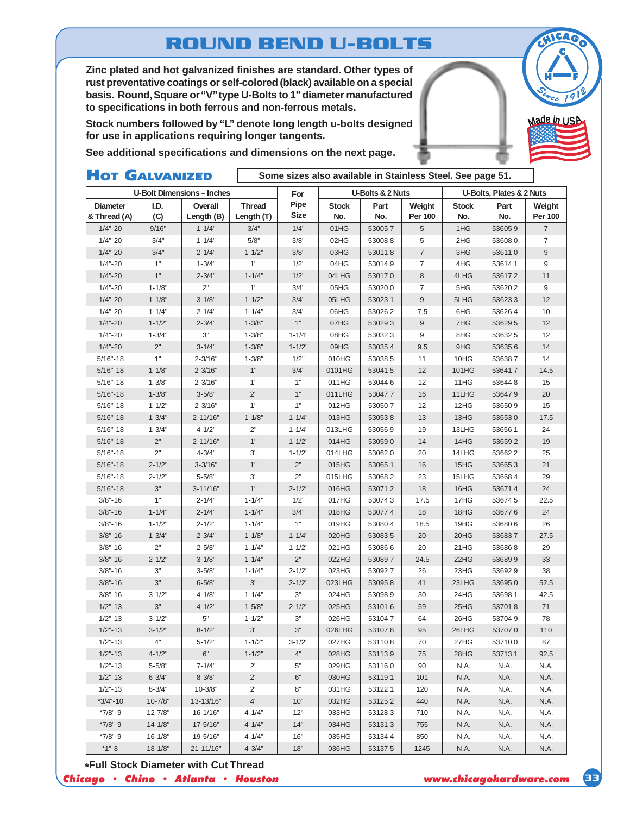# **ROUND BEND U-BOLTS**

**Zinc plated and hot galvanized finishes are standard. Other types of rust preventative coatings or self-colored (black) available on a special basis. Round, Square or "V" type U-Bolts to 1" diameter manufactured to specifications in both ferrous and non-ferrous metals.**

**Stock numbers followed by "L" denote long length u-bolts designed for use in applications requiring longer tangents.**

**See additional specifications and dimensions on the next page.**

### HOT GALVANIZED

**Some sizes also available in Stainless Steel. See page 51.**

|                 |             | <b>U-Bolt Dimensions-Inches</b> |               | For         | U-Bolts & 2 Nuts |        |                  | U-Bolts, Plates & 2 Nuts |         |                           |  |
|-----------------|-------------|---------------------------------|---------------|-------------|------------------|--------|------------------|--------------------------|---------|---------------------------|--|
| <b>Diameter</b> | I.D.        | Overall                         | <b>Thread</b> | Pipe        | <b>Stock</b>     | Part   | Weight           | <b>Stock</b>             | Part    | Weight                    |  |
| & Thread (A)    | (C)         | Length (B)                      | Length (T)    | <b>Size</b> | No.              | No.    | Per 100          | No.                      | No.     | Per 100                   |  |
| $1/4 - 20$      | 9/16"       | $1 - 1/4"$                      | 3/4"          | 1/4"        | 01HG             | 530057 | $\sqrt{5}$       | 1HG                      | 536059  | $\overline{\mathfrak{c}}$ |  |
| $1/4 - 20$      | 3/4"        | $1 - 1/4"$                      | 5/8"          | 3/8"        | 02HG             | 530088 | 5                | 2HG                      | 536080  | $\overline{7}$            |  |
| $1/4 - 20$      | 3/4"        | $2 - 1/4"$                      | $1 - 1/2"$    | 3/8"        | 03HG             | 530118 | $\overline{7}$   | 3HG                      | 536110  | $9\,$                     |  |
| $1/4 - 20$      | 1"          | $1 - 3/4"$                      | 1"            | 1/2"        | 04HG             | 530149 | 7                | 4HG                      | 536141  | 9                         |  |
| $1/4 - 20$      | 1"          | $2 - 3/4"$                      | $1 - 1/4"$    | 1/2"        | 04LHG            | 530170 | 8                | 4LHG                     | 536172  | 11                        |  |
| $1/4 - 20$      | $1 - 1/8"$  | 2"                              | 1"            | 3/4"        | 05HG             | 530200 | $\overline{7}$   | 5HG                      | 536202  | 9                         |  |
| $1/4 - 20$      | $1 - 1/8"$  | $3 - 1/8"$                      | $1 - 1/2"$    | 3/4"        | 05LHG            | 530231 | $\boldsymbol{9}$ | 5LHG                     | 536233  | 12                        |  |
| $1/4 - 20$      | $1 - 1/4"$  | $2 - 1/4"$                      | $1 - 1/4"$    | 3/4"        | 06HG             | 530262 | 7.5              | 6HG                      | 536264  | 10                        |  |
| $1/4 - 20$      | $1 - 1/2"$  | $2 - 3/4"$                      | $1 - 3/8"$    | $1"$        | 07HG             | 530293 | $9\,$            | 7HG                      | 536295  | 12                        |  |
| $1/4 - 20$      | $1 - 3/4"$  | 3"                              | $1 - 3/8"$    | $1 - 1/4"$  | 08HG             | 530323 | 9                | 8HG                      | 536325  | 12                        |  |
| $1/4 - 20$      | 2"          | $3 - 1/4"$                      | $1 - 3/8"$    | $1 - 1/2"$  | 09HG             | 530354 | 9.5              | 9HG                      | 536356  | 14                        |  |
| $5/16 - 18$     | 1"          | $2 - 3/16"$                     | $1 - 3/8"$    | 1/2"        | 010HG            | 530385 | 11               | 10HG                     | 536387  | 14                        |  |
| $5/16 - 18$     | $1 - 1/8"$  | $2 - 3/16"$                     | $1"$          | 3/4"        | 0101HG           | 530415 | 12               | 101HG                    | 536417  | 14.5                      |  |
| $5/16 - 18$     | $1 - 3/8"$  | $2 - 3/16"$                     | 1"            | 1"          | 011HG            | 530446 | 12               | 11HG                     | 536448  | 15                        |  |
| $5/16 - 18$     | $1 - 3/8"$  | $3 - 5/8"$                      | 2"            | 1"          | 011LHG           | 530477 | 16               | 11LHG                    | 536479  | 20                        |  |
| $5/16 - 18$     | $1 - 1/2"$  | $2 - 3/16"$                     | 1"            | 1"          | 012HG            | 530507 | 12               | 12HG                     | 536509  | 15                        |  |
| $5/16 - 18$     | $1 - 3/4"$  | $2 - 11/16"$                    | $1 - 1/8"$    | $1 - 1/4"$  | 013HG            | 530538 | 13               | 13HG                     | 536530  | 17.5                      |  |
| $5/16 - 18$     | $1 - 3/4"$  | $4 - 1/2"$                      | 2"            | $1 - 1/4"$  | 013LHG           | 530569 | 19               | 13LHG                    | 53656 1 | 24                        |  |
| $5/16 - 18$     | 2"          | $2 - 11/16"$                    | 1"            | $1 - 1/2"$  | 014HG            | 530590 | 14               | 14HG                     | 536592  | 19                        |  |
| $5/16 - 18$     | 2"          | $4 - 3/4"$                      | 3"            | $1 - 1/2"$  | 014LHG           | 530620 | 20               | 14LHG                    | 536622  | 25                        |  |
| $5/16 - 18$     | $2 - 1/2"$  | $3 - 3/16"$                     | 1"            | $2"$        | 015HG            | 530651 | 16               | 15HG                     | 536653  | 21                        |  |
| $5/16 - 18$     | $2 - 1/2"$  | $5 - 5/8"$                      | 3"            | 2"          | 015LHG           | 530682 | 23               | 15LHG                    | 536684  | 29                        |  |
| $5/16 - 18$     | 3"          | $3 - 11/16"$                    | 1"            | $2 - 1/2"$  | 016HG            | 530712 | 18               | 16HG                     | 536714  | 24                        |  |
| $3/8 - 16$      | 1"          | $2 - 1/4"$                      | $1 - 1/4"$    | 1/2"        | 017HG            | 530743 | 17.5             | 17HG                     | 536745  | 22.5                      |  |
| $3/8 - 16$      | $1 - 1/4"$  | $2 - 1/4"$                      | $1 - 1/4"$    | 3/4"        | 018HG            | 530774 | 18               | 18HG                     | 536776  | 24                        |  |
| $3/8 - 16$      | $1 - 1/2"$  | $2 - 1/2"$                      | $1 - 1/4"$    | 1"          | 019HG            | 530804 | 18.5             | 19HG                     | 536806  | 26                        |  |
| $3/8 - 16$      | $1 - 3/4"$  | $2 - 3/4"$                      | $1 - 1/8"$    | $1 - 1/4"$  | 020HG            | 530835 | 20               | 20HG                     | 536837  | 27.5                      |  |
| $3/8 - 16$      | 2"          | $2 - 5/8"$                      | $1 - 1/4"$    | $1 - 1/2"$  | 021HG            | 530866 | 20               | 21HG                     | 536868  | 29                        |  |
| $3/8 - 16$      | $2 - 1/2"$  | $3 - 1/8"$                      | $1 - 1/4"$    | 2"          | 022HG            | 530897 | 24.5             | 22HG                     | 536899  | 33                        |  |
| $3/8 - 16$      | $3"$        | $3 - 5/8"$                      | $1 - 1/4"$    | $2 - 1/2"$  | 023HG            | 530927 | 26               | 23HG                     | 536929  | 38                        |  |
| $3/8 - 16$      | 3"          | $6 - 5/8"$                      | 3"            | $2 - 1/2"$  | 023LHG           | 530958 | 41               | 23LHG                    | 536950  | 52.5                      |  |
| $3/8 - 16$      | $3 - 1/2"$  | $4 - 1/8"$                      | $1 - 1/4"$    | $3"$        | 024HG            | 530989 | 30               | 24HG                     | 53698 1 | 42.5                      |  |
| $1/2" - 13$     | 3"          | $4 - 1/2"$                      | $1 - 5/8"$    | $2 - 1/2"$  | 025HG            | 531016 | 59               | 25HG                     | 537018  | 71                        |  |
| $1/2" - 13$     | $3 - 1/2"$  | $5"$                            | $1 - 1/2"$    | $3"$        | 026HG            | 531047 | 64               | 26HG                     | 537049  | 78                        |  |
| $1/2" - 13$     | $3 - 1/2"$  | $8 - 1/2"$                      | $3"$          | $3"$        | 026LHG           | 531078 | 95               | 26LHG                    | 537070  | 110                       |  |
| $1/2" - 13$     | 4"          | $5 - 1/2"$                      | $1 - 1/2"$    | $3 - 1/2"$  | 027HG            | 531108 | 70               | 27HG                     | 537100  | 87                        |  |
| $1/2$ "-13      | $4 - 1/2"$  | $6"$                            | $1 - 1/2"$    | 4"          | 028HG            | 531139 | 75               | 28HG                     | 537131  | 92.5                      |  |
| $1/2 - 13$      | $5 - 5/8"$  | 7-1/4"                          | 2"            | 5"          | 029HG            | 531160 | 90               | N.A.                     | N.A.    | N.A.                      |  |
| $1/2" - 13$     | $6 - 3/4"$  | $8 - 3/8"$                      | 2"            | 6"          | 030HG            | 531191 | 101              | N.A.                     | N.A.    | N.A.                      |  |
| $1/2" - 13$     | $8 - 3/4"$  | $10 - 3/8"$                     | 2"            | 8"          | 031HG            | 531221 | 120              | N.A.                     | N.A.    | N.A.                      |  |
| $*3/4 - 10$     | $10 - 7/8"$ | 13-13/16"                       | $4"$          | 10"         | 032HG            | 531252 | 440              | N.A.                     | N.A.    | N.A.                      |  |
| $*7/8" - 9$     | $12 - 7/8"$ | $16 - 1/16"$                    | $4 - 1/4"$    | 12"         | 033HG            | 531283 | 710              | N.A.                     | N.A.    | N.A.                      |  |
| $*7/8" - 9$     | $14 - 1/8"$ | 17-5/16"                        | $4 - 1/4"$    | 14"         | 034HG            | 531313 | 755              | N.A.                     | N.A.    | N.A.                      |  |
| $*7/8" - 9$     | $16 - 1/8"$ | 19-5/16"                        | $4 - 1/4"$    | 16"         | 035HG            | 531344 | 850              | N.A.                     | N.A.    | N.A.                      |  |
| $*1 - 8$        | $18 - 1/8"$ | 21-11/16"                       | $4 - 3/4"$    | 18"         | 036HG            | 531375 | 1245             | N.A.                     | N.A.    | N.A.                      |  |

**\*Full Stock Diameter with Cut Thread**

*Chicago • Chino • Atlanta • Houston www.chicagohardware.com*



Made in USA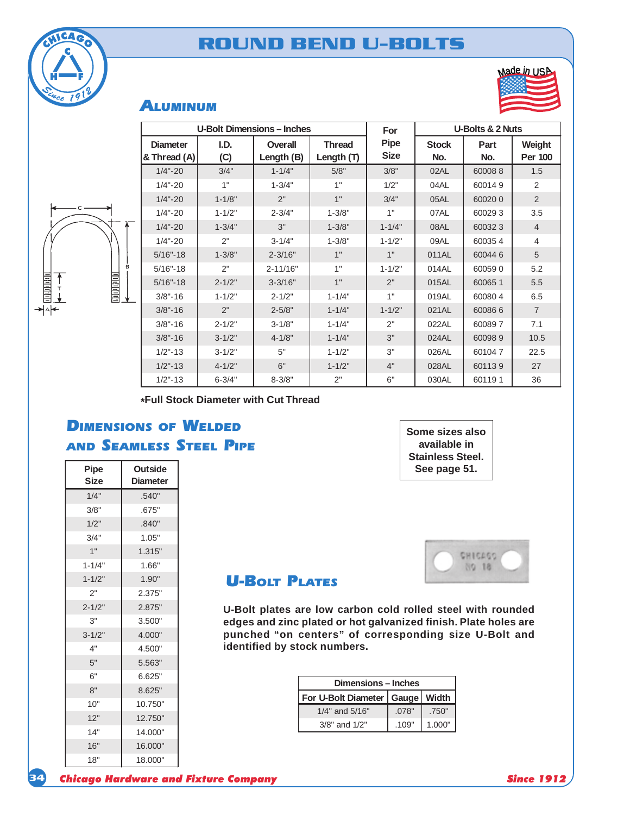



| nade in USA |  |
|-------------|--|
|             |  |
|             |  |
|             |  |

### ALUMINUM

|    |                                 | <b>U-Bolt Dimensions - Inches</b> |                       |                               | For                        |                     | U-Bolts & 2 Nuts |                          |
|----|---------------------------------|-----------------------------------|-----------------------|-------------------------------|----------------------------|---------------------|------------------|--------------------------|
|    | <b>Diameter</b><br>& Thread (A) | I.D.<br>(C)                       | Overall<br>Length (B) | <b>Thread</b><br>Length $(T)$ | <b>Pipe</b><br><b>Size</b> | <b>Stock</b><br>No. | Part<br>No.      | Weight<br><b>Per 100</b> |
|    | $1/4 - 20$                      | 3/4"                              | $1 - 1/4"$            | 5/8"                          | 3/8"                       | 02AL                | 600088           | 1.5                      |
|    | $1/4 - 20$                      | 1"                                | $1 - 3/4"$            | 1"                            | 1/2"                       | 04AL                | 600149           | 2                        |
|    | $1/4 - 20$                      | $1 - 1/8"$                        | 2"                    | 1"                            | 3/4"                       | 05AL                | 600200           | 2                        |
|    | $1/4 - 20$                      | $1 - 1/2"$                        | $2 - 3/4"$            | $1 - 3/8"$                    | 1"                         | 07AL                | 600293           | 3.5                      |
| ∓  | $1/4 - 20$                      | $1 - 3/4"$                        | 3"                    | $1 - 3/8"$                    | $1 - 1/4"$                 | 08AL                | 600323           | $\overline{4}$           |
|    | $1/4 - 20$                      | 2"                                | $3 - 1/4"$            | $1 - 3/8"$                    | $1 - 1/2"$                 | 09AL                | 600354           | 4                        |
|    | $5/16 - 18$                     | $1 - 3/8"$                        | $2 - 3/16"$           | 1"                            | 1"                         | 011AL               | 600446           | 5                        |
| B. | $5/16 - 18$                     | 2"                                | $2 - 11/16"$          | 1"                            | $1 - 1/2"$                 | 014AL               | 600590           | 5.2                      |
|    | $5/16 - 18$                     | $2 - 1/2"$                        | $3 - 3/16"$           | 1"                            | 2"                         | 015AL               | 600651           | 5.5                      |
|    | $3/8 - 16$                      | $1 - 1/2"$                        | $2 - 1/2"$            | $1 - 1/4"$                    | 1"                         | 019AL               | 600804           | 6.5                      |
|    | $3/8 - 16$                      | 2"                                | $2 - 5/8"$            | $1 - 1/4"$                    | $1 - 1/2"$                 | 021AL               | 600866           | $\overline{7}$           |
|    | $3/8 - 16$                      | $2 - 1/2"$                        | $3 - 1/8"$            | $1 - 1/4"$                    | 2"                         | 022AL               | 600897           | 7.1                      |
|    | $3/8 - 16$                      | $3 - 1/2"$                        | $4 - 1/8"$            | $1 - 1/4"$                    | 3"                         | 024AL               | 600989           | 10.5                     |
|    | $1/2 - 13$                      | $3 - 1/2"$                        | 5"                    | $1 - 1/2"$                    | 3"                         | 026AL               | 601047           | 22.5                     |
|    | $1/2$ "-13                      | $4 - 1/2"$                        | 6"                    | $1 - 1/2"$                    | 4"                         | 028AL               | 601139           | 27                       |
|    | $1/2 - 13$                      | $6 - 3/4"$                        | $8 - 3/8"$            | 2"                            | 6"                         | 030AL               | 601191           | 36                       |

**\*Full Stock Diameter with Cut Thread**

## DIMENSIONS OF WELDED AND SEAMLESS STEEL PIPE

| Pipe<br><b>Size</b> | <b>Outside</b><br><b>Diameter</b> |
|---------------------|-----------------------------------|
| 1/4"                | .540"                             |
| 3/8"                | .675"                             |
| 1/2"                | .840"                             |
| 3/4"                | 1.05"                             |
| 1"                  | 1.315"                            |
| $1 - 1/4"$          | 1.66"                             |
| $1 - 1/2"$          | 1.90"                             |
| 2"                  | 2.375"                            |
| $2 - 1/2"$          | 2.875"                            |
| 3"                  | 3.500"                            |
| $3 - 1/2"$          | 4.000"                            |
| 4"                  | 4.500"                            |
| 5"                  | 5.563"                            |
| 6"                  | 6.625"                            |
| 8"                  | 8.625"                            |
| 10"                 | 10.750"                           |
| 12"                 | 12.750"                           |
| 14"                 | 14.000"                           |
| 16"                 | 16.000"                           |
| 18"                 | 18.000"                           |





### **U-BOLT PLATES**

**U-Bolt plates are low carbon cold rolled steel with rounded edges and zinc plated or hot galvanized finish. Plate holes are punched "on centers" of corresponding size U-Bolt and identified by stock numbers.**

| Dimensions - Inches                 |       |        |  |  |  |  |  |
|-------------------------------------|-------|--------|--|--|--|--|--|
| For U-Bolt Diameter   Gauge   Width |       |        |  |  |  |  |  |
| $1/4"$ and $5/16"$                  | .078" | .750"  |  |  |  |  |  |
| $3/8"$ and $1/2"$                   | .109" | 1.000" |  |  |  |  |  |

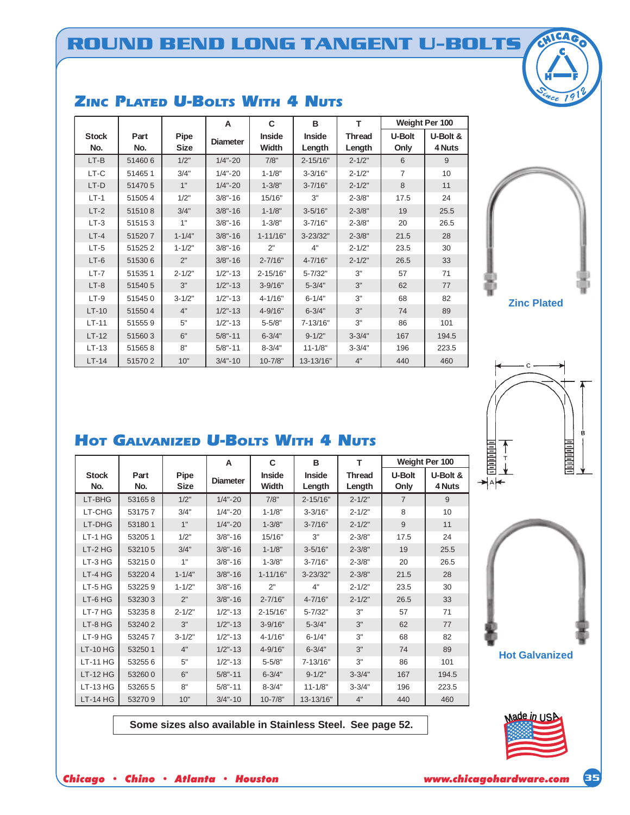|                     |             |                     | A               | C                      | в                       | T                       |                | Weight Per 100     |
|---------------------|-------------|---------------------|-----------------|------------------------|-------------------------|-------------------------|----------------|--------------------|
| <b>Stock</b><br>No. | Part<br>No. | Pipe<br><b>Size</b> | <b>Diameter</b> | <b>Inside</b><br>Width | <b>Inside</b><br>Length | <b>Thread</b><br>Length | U-Bolt<br>Only | U-Bolt &<br>4 Nuts |
| $LT-B$              | 514606      | 1/2"                | $1/4 - 20$      | 7/8"                   | $2 - 15/16"$            | $2 - 1/2"$              | 6              | 9                  |
| LT-C                | 514651      | 3/4"                | $1/4 - 20$      | $1 - 1/8"$             | $3 - 3/16"$             | $2 - 1/2"$              | 7              | 10                 |
| LT-D                | 514705      | 1"                  | $1/4 - 20$      | $1 - 3/8"$             | $3 - 7/16"$             | $2 - 1/2"$              | 8              | 11                 |
| $LT-1$              | 515054      | 1/2"                | $3/8 - 16$      | 15/16"                 | 3"                      | $2 - 3/8"$              | 17.5           | 24                 |
| $LT-2$              | 515108      | 3/4"                | $3/8 - 16$      | $1 - 1/8"$             | $3 - 5/16"$             | $2 - 3/8"$              | 19             | 25.5               |
| $LT-3$              | 515153      | 1"                  | $3/8 - 16$      | $1 - 3/8"$             | $3 - 7/16"$             | $2 - 3/8"$              | 20             | 26.5               |
| $LT-4$              | 515207      | $1 - 1/4"$          | $3/8 - 16$      | $1 - 11/16"$           | $3 - 23/32"$            | $2 - 3/8"$              | 21.5           | 28                 |
| $LT-5$              | 515252      | $1 - 1/2"$          | $3/8" - 16$     | 2"                     | 4"                      | $2 - 1/2"$              | 23.5           | 30                 |
| $LT-6$              | 515306      | 2"                  | $3/8 - 16$      | $2 - 7/16"$            | $4 - 7/16"$             | $2 - 1/2"$              | 26.5           | 33                 |
| $LT-7$              | 515351      | $2 - 1/2"$          | $1/2" - 13$     | $2 - 15/16"$           | $5 - 7/32"$             | 3"                      | 57             | 71                 |
| $LT-8$              | 515405      | 3"                  | $1/2" - 13$     | $3 - 9/16"$            | $5 - 3/4"$              | 3"                      | 62             | 77                 |
| $LT-9$              | 515450      | $3 - 1/2"$          | $1/2" - 13$     | $4 - 1/16"$            | $6 - 1/4"$              | 3"                      | 68             | 82                 |
| $LT-10$             | 515504      | 4"                  | $1/2" - 13$     | 4-9/16"                | $6 - 3/4"$              | 3"                      | 74             | 89                 |
| $LT-11$             | 515559      | 5"                  | $1/2" - 13$     | $5 - 5/8"$             | 7-13/16"                | 3"                      | 86             | 101                |
| $LT-12$             | 515603      | 6"                  | $5/8" - 11$     | $6 - 3/4"$             | $9 - 1/2"$              | $3 - 3/4"$              | 167            | 194.5              |
| $LT-13$             | 515658      | 8"                  | $5/8" - 11$     | $8 - 3/4"$             | $11 - 1/8"$             | $3 - 3/4"$              | 196            | 223.5              |
| $LT-14$             | 515702      | 10"                 | $3/4 - 10$      | $10 - 7/8"$            | 13-13/16"               | 4"                      | 440            | 460                |

### Zinc Plated U-Bolts With 4 Nuts

# **Zinc Plated**



## HOT GALVANIZED U-BOLTS WITH 4 NUTS

|                     |             |                     | A               | C<br>в                 |                         | т                       |                | Weight Per 100     |
|---------------------|-------------|---------------------|-----------------|------------------------|-------------------------|-------------------------|----------------|--------------------|
| <b>Stock</b><br>No. | Part<br>No. | Pipe<br><b>Size</b> | <b>Diameter</b> | <b>Inside</b><br>Width | <b>Inside</b><br>Length | <b>Thread</b><br>Length | U-Bolt<br>Only | U-Bolt &<br>4 Nuts |
| LT-BHG              | 531658      | 1/2"                | $1/4 - 20$      | 7/8"                   | $2 - 15/16"$            | $2 - 1/2"$              | $\overline{7}$ | 9                  |
| LT-CHG              | 531757      | 3/4"                | $1/4 - 20$      | $1 - 1/8"$             | $3 - 3/16"$             | $2 - 1/2"$              | 8              | 10                 |
| LT-DHG              | 531801      | 1"                  | $1/4 - 20$      | $1 - 3/8"$             | $3 - 7/16"$             | $2 - 1/2"$              | 9              | 11                 |
| $LT-1$ HG           | 53205 1     | 1/2"                | $3/8 - 16$      | 15/16"                 | 3"                      | $2 - 3/8"$              | 17.5           | 24                 |
| LT-2 HG             | 532105      | 3/4"                | $3/8" - 16$     | $1 - 1/8"$             | $3 - 5/16"$             | $2 - 3/8"$              | 19             | 25.5               |
| LT-3 HG             | 532150      | 1"                  | $3/8" - 16$     | $1 - 3/8"$             | $3 - 7/16"$             | $2 - 3/8"$              | 20             | 26.5               |
| $LT-4HG$            | 532204      | $1 - 1/4"$          | $3/8" - 16$     | $1 - 11/16"$           | $3 - 23/32"$            | $2 - 3/8"$              | 21.5           | 28                 |
| LT-5 HG             | 532259      | $1 - 1/2"$          | $3/8" - 16$     | 2"                     | 4"                      | $2 - 1/2"$              | 23.5           | 30                 |
| LT-6 HG             | 532303      | 2"                  | $3/8" - 16$     | $2 - 7/16"$            | $4 - 7/16"$             | $2 - 1/2"$              | 26.5           | 33                 |
| LT-7 HG             | 532358      | $2 - 1/2"$          | $1/2" - 13$     | 2-15/16"               | $5 - 7/32"$             | 3"                      | 57             | 71                 |
| LT-8 HG             | 532402      | 3"                  | $1/2" - 13$     | $3 - 9/16"$            | $5 - 3/4"$              | 3"                      | 62             | 77                 |
| LT-9 HG             | 532457      | $3 - 1/2"$          | $1/2" - 13$     | $4 - 1/16"$            | $6 - 1/4"$              | 3"                      | 68             | 82                 |
| <b>LT-10 HG</b>     | 53250 1     | 4"                  | $1/2" - 13$     | 4-9/16"                | $6 - 3/4"$              | 3"                      | 74             | 89                 |
| <b>LT-11 HG</b>     | 532556      | 5"                  | $1/2" - 13$     | $5 - 5/8"$             | 7-13/16"                | 3"                      | 86             | 101                |
| <b>LT-12 HG</b>     | 532600      | 6"                  | $5/8" - 11$     | $6 - 3/4"$             | $9 - 1/2"$              | $3 - 3/4"$              | 167            | 194.5              |
| <b>LT-13 HG</b>     | 532655      | 8"                  | $5/8" - 11$     | $8 - 3/4"$             | $11 - 1/8"$             | $3 - 3/4"$              | 196            | 223.5              |
| <b>LT-14 HG</b>     | 532709      | 10"                 | $3/4 - 10$      | $10 - 7/8"$            | 13-13/16"               | 4"                      | 440            | 460                |

**Some sizes also available in Stainless Steel. See page 52.**